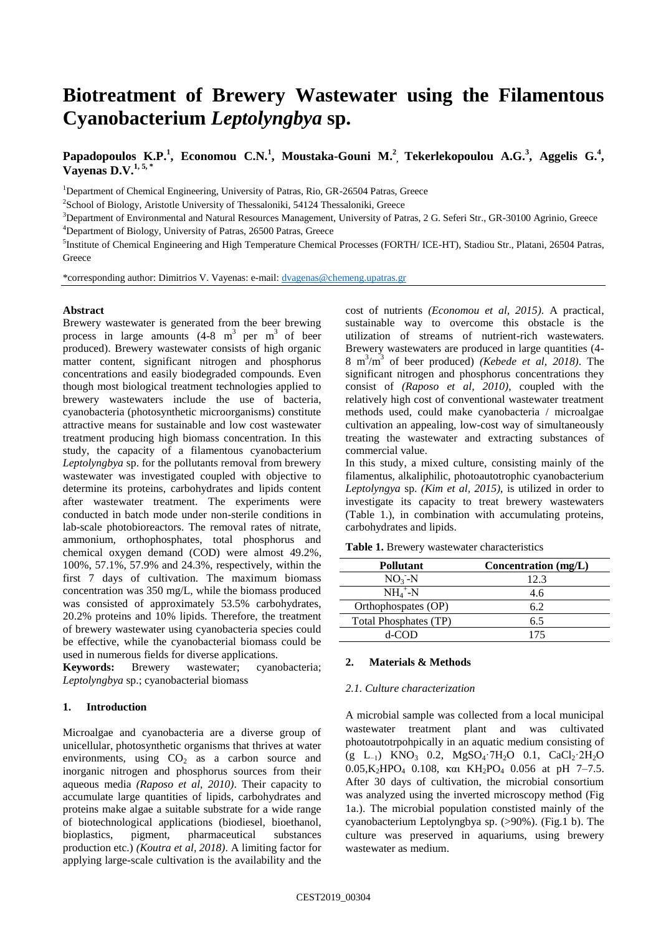# **Biotreatment of Brewery Wastewater using the Filamentous Cyanobacterium** *Leptolyngbya* **sp.**

## **Papadopoulos K.P.<sup>1</sup>, Economou C.N.<sup>1</sup>, Moustaka-Gouni M.<sup>2</sup>, Tekerlekopoulou A.G.<sup>3</sup>, Aggelis G.<sup>4</sup>, Vayenas D.V.1, 5, \***

<sup>1</sup>Department of Chemical Engineering, University of Patras, Rio, GR-26504 Patras, Greece

<sup>2</sup>School of Biology, Aristotle University of Thessaloniki, 54124 Thessaloniki, Greece

<sup>3</sup>Department of Environmental and Natural Resources Management, University of Patras, 2 G. Seferi Str., GR-30100 Agrinio, Greece <sup>4</sup>Department of Biology, University of Patras, 26500 Patras, Greece

<sup>5</sup>Institute of Chemical Engineering and High Temperature Chemical Processes (FORTH/ ICE-HT), Stadiou Str., Platani, 26504 Patras, **Greece** 

\*corresponding author: Dimitrios V. Vayenas: e-mail: [dvagenas@chemeng.upatras.gr](mailto:dvagenas@chemeng.upatras.gr)

#### **Abstract**

Brewery wastewater is generated from the beer brewing process in large amounts  $(4-8 \text{ m}^3 \text{ per m}^3 \text{ of } \text{ beer})$ produced). Brewery wastewater consists of high organic matter content, significant nitrogen and phosphorus concentrations and easily biodegraded compounds. Even though most biological treatment technologies applied to brewery wastewaters include the use of bacteria, cyanobacteria (photosynthetic microorganisms) constitute attractive means for sustainable and low cost wastewater treatment producing high biomass concentration. In this study, the capacity of a filamentous cyanobacterium *Leptolyngbya* sp. for the pollutants removal from brewery wastewater was investigated coupled with objective to determine its proteins, carbohydrates and lipids content after wastewater treatment. The experiments were conducted in batch mode under non-sterile conditions in lab-scale photobioreactors. The removal rates of nitrate, ammonium, orthophosphates, total phosphorus and chemical oxygen demand (COD) were almost 49.2%, 100%, 57.1%, 57.9% and 24.3%, respectively, within the first 7 days of cultivation. The maximum biomass concentration was 350 mg/L, while the biomass produced was consisted of approximately 53.5% carbohydrates, 20.2% proteins and 10% lipids. Therefore, the treatment of brewery wastewater using cyanobacteria species could be effective, while the cyanobacterial biomass could be used in numerous fields for diverse applications.

**Keywords:** Brewery wastewater; cyanobacteria; *Leptolyngbya* sp.; cyanobacterial biomass

#### **1. Introduction**

Microalgae and cyanobacteria are a diverse group of unicellular, photosynthetic organisms that thrives at water environments, using  $CO<sub>2</sub>$  as a carbon source and inorganic nitrogen and phosphorus sources from their aqueous media *(Raposo et al, 2010)*. Their capacity to accumulate large quantities of lipids, carbohydrates and proteins make algae a suitable substrate for a wide range of biotechnological applications (biodiesel, bioethanol, bioplastics, pigment, pharmaceutical substances production etc.) *(Koutra et al, 2018)*. A limiting factor for applying large-scale cultivation is the availability and the

cost of nutrients *(Economou et al, 2015)*. A practical, sustainable way to overcome this obstacle is the utilization of streams of nutrient-rich wastewaters. Brewery wastewaters are produced in large quantities  $(4-)$ 8 m<sup>3</sup> /m<sup>3</sup> of beer produced) *(Kebede et al, 2018)*. The significant nitrogen and phosphorus concentrations they consist of *(Raposo et al, 2010)*, coupled with the relatively high cost of conventional wastewater treatment methods used, could make cyanobacteria / microalgae cultivation an appealing, low-cost way of simultaneously treating the wastewater and extracting substances of commercial value.

In this study, a mixed culture, consisting mainly of the filamentus, alkaliphilic, photoautotrophic cyanobacterium *Leptolyngya* sp. *(Kim et al, 2015)*, is utilized in order to investigate its capacity to treat brewery wastewaters (Table 1.), in combination with accumulating proteins, carbohydrates and lipids.

| Pollutant             | Concentration $(mg/L)$ |
|-----------------------|------------------------|
| $NO3-N$               | 12.3                   |
| $NH_4^+$ -N           | 4.6                    |
| Orthophospates (OP)   | 6.2                    |
| Total Phosphates (TP) | 6.5                    |
| d-COD                 | 175                    |

**Table 1.** Brewery wastewater characteristics

#### **2. Materials & Methods**

#### *2.1. Culture characterization*

A microbial sample was collected from a local municipal wastewater treatment plant and was cultivated photoautotrpohpically in an aquatic medium consisting of  $(g L_{-1})$  KNO<sub>3</sub> 0.2, MgSO<sub>4</sub>·7H<sub>2</sub>O 0.1, CaCl<sub>2</sub>·2H<sub>2</sub>O  $0.05$ , K<sub>2</sub>HPO<sub>4</sub> 0.108, και KH<sub>2</sub>PO<sub>4</sub> 0.056 at pH 7-7.5. After 30 days of cultivation, the microbial consortium was analyzed using the inverted microscopy method (Fig 1a.). The microbial population constisted mainly of the cyanobacterium Leptolyngbya sp. (>90%). (Fig.1 b). The culture was preserved in aquariums, using brewery wastewater as medium.